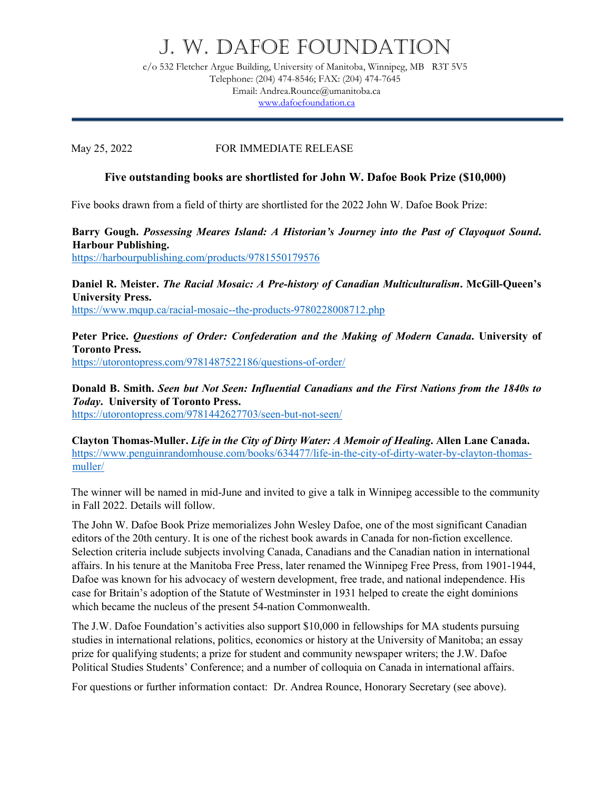## J. W. DAFOE FOUNDATION

c/o 532 Fletcher Argue Building, University of Manitoba, Winnipeg, MB R3T 5V5 Telephone: (204) 474-8546; FAX: (204) 474-7645 Email: Andrea.Rounce@umanitoba.ca [www.dafoefoundation.ca](http://www.dafoefoundation.ca/)

May 25, 2022 FOR IMMEDIATE RELEASE

## **Five outstanding books are shortlisted for John W. Dafoe Book Prize (\$10,000)**

Five books drawn from a field of thirty are shortlisted for the 2022 John W. Dafoe Book Prize:

**Barry Gough.** *Possessing Meares Island: A Historian's Journey into the Past of Clayoquot Sound***. Harbour Publishing.** <https://harbourpublishing.com/products/9781550179576>

**Daniel R. Meister.** *The Racial Mosaic: A Pre-history of Canadian Multiculturalism***. McGill-Queen's University Press.** <https://www.mqup.ca/racial-mosaic--the-products-9780228008712.php>

**Peter Price.** *Questions of Order: Confederation and the Making of Modern Canada***. University of Toronto Press.** <https://utorontopress.com/9781487522186/questions-of-order/>

**Donald B. Smith.** *Seen but Not Seen: Influential Canadians and the First Nations from the 1840s to Today***. University of Toronto Press.**

<https://utorontopress.com/9781442627703/seen-but-not-seen/>

**Clayton Thomas-Muller.** *Life in the City of Dirty Water: A Memoir of Healing***. Allen Lane Canada.** [https://www.penguinrandomhouse.com/books/634477/life-in-the-city-of-dirty-water-by-clayton-thomas](https://www.penguinrandomhouse.com/books/634477/life-in-the-city-of-dirty-water-by-clayton-thomas-muller/)[muller/](https://www.penguinrandomhouse.com/books/634477/life-in-the-city-of-dirty-water-by-clayton-thomas-muller/)

The winner will be named in mid-June and invited to give a talk in Winnipeg accessible to the community in Fall 2022. Details will follow.

The John W. Dafoe Book Prize memorializes John Wesley Dafoe, one of the most significant Canadian editors of the 20th century. It is one of the richest book awards in Canada for non-fiction excellence. Selection criteria include subjects involving Canada, Canadians and the Canadian nation in international affairs. In his tenure at the Manitoba Free Press, later renamed the Winnipeg Free Press, from 1901-1944, Dafoe was known for his advocacy of western development, free trade, and national independence. His case for Britain's adoption of the Statute of Westminster in 1931 helped to create the eight dominions which became the nucleus of the present 54-nation Commonwealth.

The J.W. Dafoe Foundation's activities also support \$10,000 in fellowships for MA students pursuing studies in international relations, politics, economics or history at the University of Manitoba; an essay prize for qualifying students; a prize for student and community newspaper writers; the J.W. Dafoe Political Studies Students' Conference; and a number of colloquia on Canada in international affairs.

For questions or further information contact: Dr. Andrea Rounce, Honorary Secretary (see above).